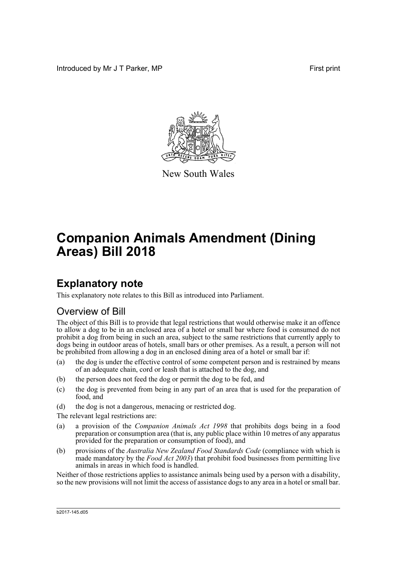Introduced by Mr J T Parker, MP **First** print



New South Wales

# **Companion Animals Amendment (Dining Areas) Bill 2018**

## **Explanatory note**

This explanatory note relates to this Bill as introduced into Parliament.

## Overview of Bill

The object of this Bill is to provide that legal restrictions that would otherwise make it an offence to allow a dog to be in an enclosed area of a hotel or small bar where food is consumed do not prohibit a dog from being in such an area, subject to the same restrictions that currently apply to dogs being in outdoor areas of hotels, small bars or other premises. As a result, a person will not be prohibited from allowing a dog in an enclosed dining area of a hotel or small bar if:

- (a) the dog is under the effective control of some competent person and is restrained by means of an adequate chain, cord or leash that is attached to the dog, and
- (b) the person does not feed the dog or permit the dog to be fed, and
- (c) the dog is prevented from being in any part of an area that is used for the preparation of food, and
- (d) the dog is not a dangerous, menacing or restricted dog.

The relevant legal restrictions are:

- (a) a provision of the *Companion Animals Act 1998* that prohibits dogs being in a food preparation or consumption area (that is, any public place within 10 metres of any apparatus provided for the preparation or consumption of food), and
- (b) provisions of the *Australia New Zealand Food Standards Code* (compliance with which is made mandatory by the *Food Act 2003*) that prohibit food businesses from permitting live animals in areas in which food is handled.

Neither of those restrictions applies to assistance animals being used by a person with a disability, so the new provisions will not limit the access of assistance dogs to any area in a hotel or small bar.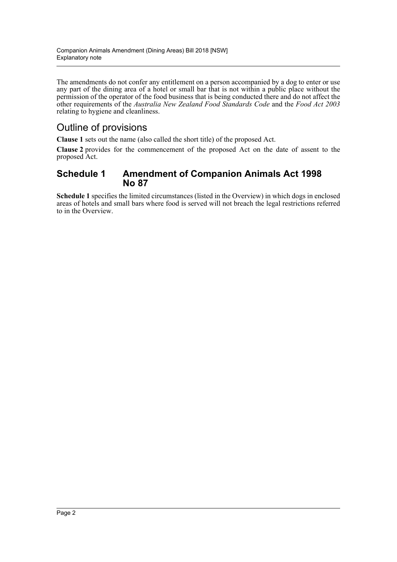The amendments do not confer any entitlement on a person accompanied by a dog to enter or use any part of the dining area of a hotel or small bar that is not within a public place without the permission of the operator of the food business that is being conducted there and do not affect the other requirements of the *Australia New Zealand Food Standards Code* and the *Food Act 2003* relating to hygiene and cleanliness.

## Outline of provisions

**Clause 1** sets out the name (also called the short title) of the proposed Act.

**Clause 2** provides for the commencement of the proposed Act on the date of assent to the proposed Act.

## **Schedule 1 Amendment of Companion Animals Act 1998 No 87**

**Schedule 1** specifies the limited circumstances (listed in the Overview) in which dogs in enclosed areas of hotels and small bars where food is served will not breach the legal restrictions referred to in the Overview.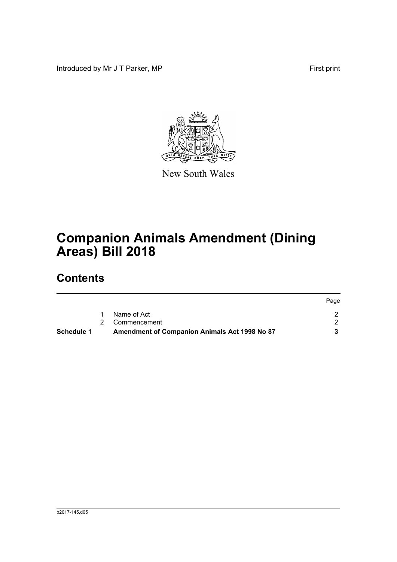Introduced by Mr J T Parker, MP First print



New South Wales

# **Companion Animals Amendment (Dining Areas) Bill 2018**

## **Contents**

| Schedule 1 | Amendment of Companion Animals Act 1998 No 87 |      |
|------------|-----------------------------------------------|------|
|            | 2 Commencement                                |      |
|            | Name of Act                                   |      |
|            |                                               | Page |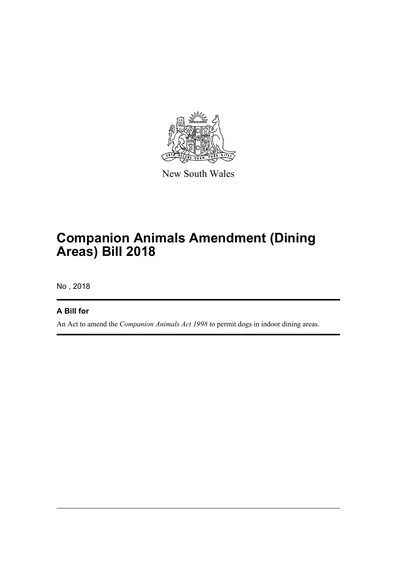

New South Wales

# **Companion Animals Amendment (Dining Areas) Bill 2018**

No , 2018

## **A Bill for**

An Act to amend the *Companion Animals Act 1998* to permit dogs in indoor dining areas.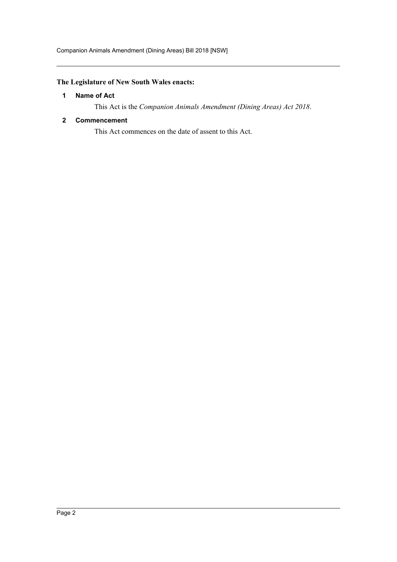### <span id="page-4-0"></span>**The Legislature of New South Wales enacts:**

#### **1 Name of Act**

This Act is the *Companion Animals Amendment (Dining Areas) Act 2018*.

#### <span id="page-4-1"></span>**2 Commencement**

This Act commences on the date of assent to this Act.